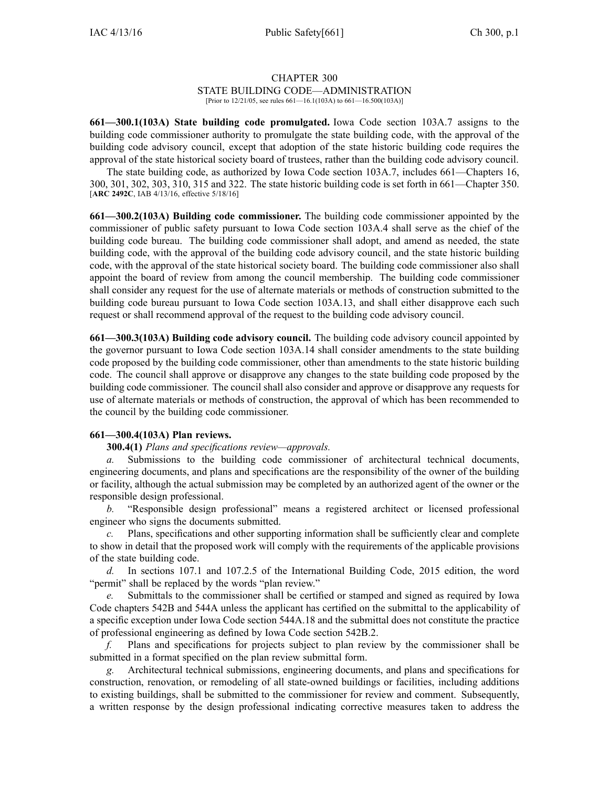# CHAPTER 300

## STATE BUILDING CODE—ADMINISTRATION

[Prior to 12/21/05, see rules 661—16.1(103A) to 661—16.500(103A)]

**661—300.1(103A) State building code promulgated.** Iowa Code section [103A.7](https://www.legis.iowa.gov/docs/ico/section/103A.7.pdf) assigns to the building code commissioner authority to promulgate the state building code, with the approval of the building code advisory council, excep<sup>t</sup> that adoption of the state historic building code requires the approval of the state historical society board of trustees, rather than the building code advisory council.

The state building code, as authorized by Iowa Code section [103A.7](https://www.legis.iowa.gov/docs/ico/section/103A.7.pdf), includes 661—Chapters 16, 300, 301, 302, 303, 310, 315 and 322. The state historic building code is set forth in 661—Chapter 350. [**ARC 2492C**, IAB 4/13/16, effective 5/18/16]

**661—300.2(103A) Building code commissioner.** The building code commissioner appointed by the commissioner of public safety pursuan<sup>t</sup> to Iowa Code section [103A.4](https://www.legis.iowa.gov/docs/ico/section/103A.4.pdf) shall serve as the chief of the building code bureau. The building code commissioner shall adopt, and amend as needed, the state building code, with the approval of the building code advisory council, and the state historic building code, with the approval of the state historical society board. The building code commissioner also shall appoint the board of review from among the council membership. The building code commissioner shall consider any reques<sup>t</sup> for the use of alternate materials or methods of construction submitted to the building code bureau pursuan<sup>t</sup> to Iowa Code section [103A.13](https://www.legis.iowa.gov/docs/ico/section/103A.13.pdf), and shall either disapprove each such reques<sup>t</sup> or shall recommend approval of the reques<sup>t</sup> to the building code advisory council.

**661—300.3(103A) Building code advisory council.** The building code advisory council appointed by the governor pursuan<sup>t</sup> to Iowa Code section [103A.14](https://www.legis.iowa.gov/docs/ico/section/103A.14.pdf) shall consider amendments to the state building code proposed by the building code commissioner, other than amendments to the state historic building code. The council shall approve or disapprove any changes to the state building code proposed by the building code commissioner. The council shall also consider and approve or disapprove any requests for use of alternate materials or methods of construction, the approval of which has been recommended to the council by the building code commissioner.

### **661—300.4(103A) Plan reviews.**

### **300.4(1)** *Plans and specifications review—approvals.*

*a.* Submissions to the building code commissioner of architectural technical documents, engineering documents, and plans and specifications are the responsibility of the owner of the building or facility, although the actual submission may be completed by an authorized agen<sup>t</sup> of the owner or the responsible design professional.

*b.* "Responsible design professional" means <sup>a</sup> registered architect or licensed professional engineer who signs the documents submitted.

*c.* Plans, specifications and other supporting information shall be sufficiently clear and complete to show in detail that the proposed work will comply with the requirements of the applicable provisions of the state building code.

*d.* In sections 107.1 and 107.2.5 of the International Building Code, 2015 edition, the word "permit" shall be replaced by the words "plan review."

*e.* Submittals to the commissioner shall be certified or stamped and signed as required by Iowa Code chapters [542B](https://www.legis.iowa.gov/docs/ico/chapter/542B.pdf) and [544A](https://www.legis.iowa.gov/docs/ico/chapter/544A.pdf) unless the applicant has certified on the submittal to the applicability of <sup>a</sup> specific exception under Iowa Code section [544A.18](https://www.legis.iowa.gov/docs/ico/section/544A.18.pdf) and the submittal does not constitute the practice of professional engineering as defined by Iowa Code section [542B.2](https://www.legis.iowa.gov/docs/ico/section/542B.2.pdf).

*f.* Plans and specifications for projects subject to plan review by the commissioner shall be submitted in <sup>a</sup> format specified on the plan review submittal form.

*g.* Architectural technical submissions, engineering documents, and plans and specifications for construction, renovation, or remodeling of all state-owned buildings or facilities, including additions to existing buildings, shall be submitted to the commissioner for review and comment. Subsequently, <sup>a</sup> written response by the design professional indicating corrective measures taken to address the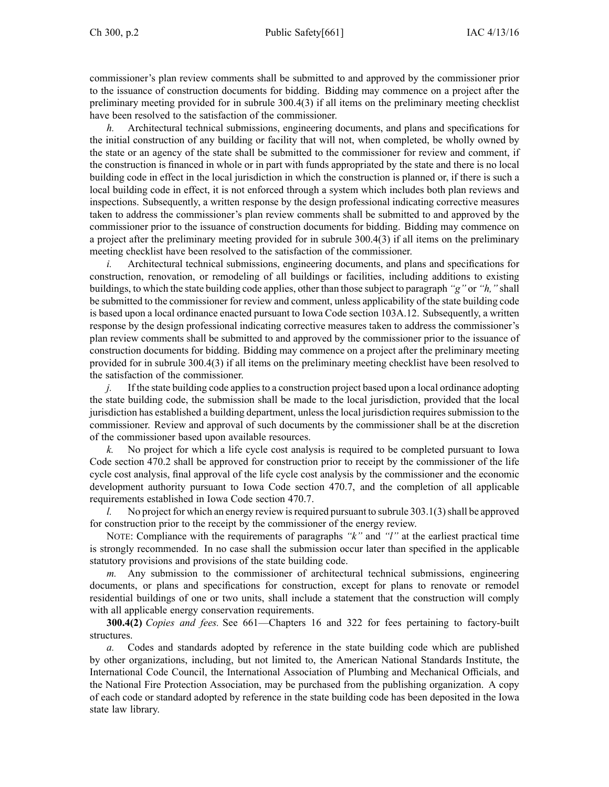commissioner's plan review comments shall be submitted to and approved by the commissioner prior to the issuance of construction documents for bidding. Bidding may commence on <sup>a</sup> project after the preliminary meeting provided for in subrule 300.4(3) if all items on the preliminary meeting checklist have been resolved to the satisfaction of the commissioner.

*h.* Architectural technical submissions, engineering documents, and plans and specifications for the initial construction of any building or facility that will not, when completed, be wholly owned by the state or an agency of the state shall be submitted to the commissioner for review and comment, if the construction is financed in whole or in par<sup>t</sup> with funds appropriated by the state and there is no local building code in effect in the local jurisdiction in which the construction is planned or, if there is such <sup>a</sup> local building code in effect, it is not enforced through <sup>a</sup> system which includes both plan reviews and inspections. Subsequently, <sup>a</sup> written response by the design professional indicating corrective measures taken to address the commissioner's plan review comments shall be submitted to and approved by the commissioner prior to the issuance of construction documents for bidding. Bidding may commence on <sup>a</sup> project after the preliminary meeting provided for in subrule 300.4(3) if all items on the preliminary meeting checklist have been resolved to the satisfaction of the commissioner.

*i.* Architectural technical submissions, engineering documents, and plans and specifications for construction, renovation, or remodeling of all buildings or facilities, including additions to existing buildings, to which the state building code applies, other than those subject to paragraph *"g"* or *"h,"* shall be submitted to the commissioner for review and comment, unless applicability of the state building code is based upon <sup>a</sup> local ordinance enacted pursuan<sup>t</sup> to Iowa Code section [103A.12](https://www.legis.iowa.gov/docs/ico/section/103A.12.pdf). Subsequently, <sup>a</sup> written response by the design professional indicating corrective measures taken to address the commissioner's plan review comments shall be submitted to and approved by the commissioner prior to the issuance of construction documents for bidding. Bidding may commence on <sup>a</sup> project after the preliminary meeting provided for in subrule 300.4(3) if all items on the preliminary meeting checklist have been resolved to the satisfaction of the commissioner.

*j.* If the state building code applies to a construction project based upon a local ordinance adopting the state building code, the submission shall be made to the local jurisdiction, provided that the local jurisdiction has established a building department, unless the local jurisdiction requires submission to the commissioner. Review and approval of such documents by the commissioner shall be at the discretion of the commissioner based upon available resources.

*k.* No project for which <sup>a</sup> life cycle cost analysis is required to be completed pursuan<sup>t</sup> to Iowa Code section [470.2](https://www.legis.iowa.gov/docs/ico/section/470.2.pdf) shall be approved for construction prior to receipt by the commissioner of the life cycle cost analysis, final approval of the life cycle cost analysis by the commissioner and the economic development authority pursuan<sup>t</sup> to Iowa Code section [470.7](https://www.legis.iowa.gov/docs/ico/section/470.7.pdf), and the completion of all applicable requirements established in Iowa Code section [470.7](https://www.legis.iowa.gov/docs/ico/section/470.7.pdf).

*l.* No project for which an energy review is required pursuant to subrule 303.1(3) shall be approved for construction prior to the receipt by the commissioner of the energy review.

NOTE: Compliance with the requirements of paragraphs *"k"* and *"l"* at the earliest practical time is strongly recommended. In no case shall the submission occur later than specified in the applicable statutory provisions and provisions of the state building code.

*m.* Any submission to the commissioner of architectural technical submissions, engineering documents, or plans and specifications for construction, excep<sup>t</sup> for plans to renovate or remodel residential buildings of one or two units, shall include <sup>a</sup> statement that the construction will comply with all applicable energy conservation requirements.

**300.4(2)** *Copies and fees.* See 661—Chapters 16 and 322 for fees pertaining to factory-built structures.

*a.* Codes and standards adopted by reference in the state building code which are published by other organizations, including, but not limited to, the American National Standards Institute, the International Code Council, the International Association of Plumbing and Mechanical Officials, and the National Fire Protection Association, may be purchased from the publishing organization. A copy of each code or standard adopted by reference in the state building code has been deposited in the Iowa state law library.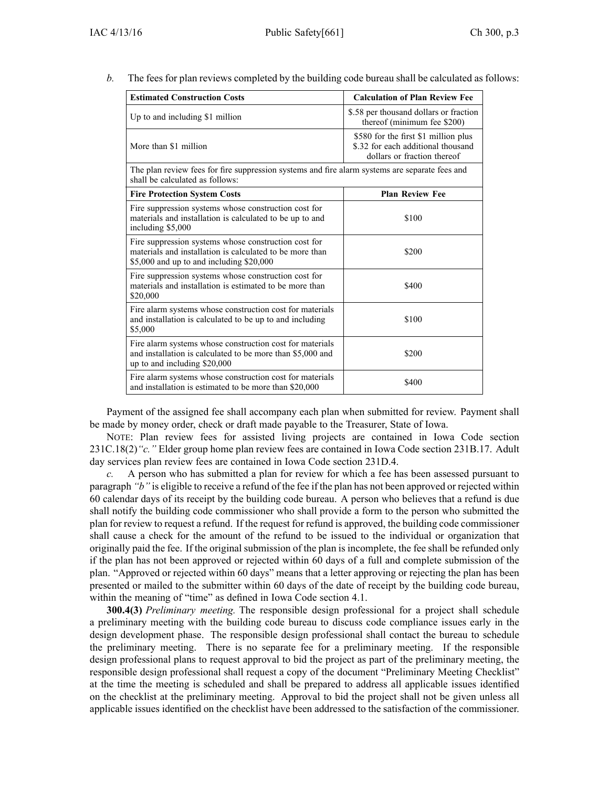*b.* The fees for plan reviews completed by the building code bureau shall be calculated as follows:

| <b>Estimated Construction Costs</b>                                                                                                                          | <b>Calculation of Plan Review Fee</b>                                                                     |
|--------------------------------------------------------------------------------------------------------------------------------------------------------------|-----------------------------------------------------------------------------------------------------------|
| Up to and including \$1 million                                                                                                                              | \$.58 per thousand dollars or fraction<br>thereof (minimum fee \$200)                                     |
| More than \$1 million                                                                                                                                        | \$580 for the first \$1 million plus<br>\$.32 for each additional thousand<br>dollars or fraction thereof |
| The plan review fees for fire suppression systems and fire alarm systems are separate fees and<br>shall be calculated as follows:                            |                                                                                                           |
| <b>Fire Protection System Costs</b>                                                                                                                          | <b>Plan Review Fee</b>                                                                                    |
| Fire suppression systems whose construction cost for<br>materials and installation is calculated to be up to and<br>including \$5,000                        | \$100                                                                                                     |
| Fire suppression systems whose construction cost for<br>materials and installation is calculated to be more than<br>\$5,000 and up to and including \$20,000 | \$200                                                                                                     |
| Fire suppression systems whose construction cost for<br>materials and installation is estimated to be more than<br>\$20,000                                  | \$400                                                                                                     |
| Fire alarm systems whose construction cost for materials<br>and installation is calculated to be up to and including<br>\$5,000                              | \$100                                                                                                     |
| Fire alarm systems whose construction cost for materials<br>and installation is calculated to be more than \$5,000 and<br>up to and including \$20,000       | \$200                                                                                                     |
| Fire alarm systems whose construction cost for materials<br>and installation is estimated to be more than \$20,000                                           | \$400                                                                                                     |

Payment of the assigned fee shall accompany each plan when submitted for review. Payment shall be made by money order, check or draft made payable to the Treasurer, State of Iowa.

NOTE: Plan review fees for assisted living projects are contained in Iowa Code section [231C.18\(2\)](https://www.legis.iowa.gov/docs/ico/section/231C.18.pdf)*"c."* Elder group home plan review fees are contained in Iowa Code section [231B.17](https://www.legis.iowa.gov/docs/ico/section/231B.17.pdf). Adult day services plan review fees are contained in Iowa Code section [231D.4](https://www.legis.iowa.gov/docs/ico/section/231D.4.pdf).

*c.* A person who has submitted <sup>a</sup> plan for review for which <sup>a</sup> fee has been assessed pursuan<sup>t</sup> to paragraph *"b"* is eligible to receive <sup>a</sup> refund of the fee if the plan has not been approved or rejected within 60 calendar days of its receipt by the building code bureau. A person who believes that <sup>a</sup> refund is due shall notify the building code commissioner who shall provide <sup>a</sup> form to the person who submitted the plan for review to reques<sup>t</sup> <sup>a</sup> refund. If the reques<sup>t</sup> for refund is approved, the building code commissioner shall cause <sup>a</sup> check for the amount of the refund to be issued to the individual or organization that originally paid the fee. If the original submission of the plan is incomplete, the fee shall be refunded only if the plan has not been approved or rejected within 60 days of <sup>a</sup> full and complete submission of the plan. "Approved or rejected within 60 days" means that <sup>a</sup> letter approving or rejecting the plan has been presented or mailed to the submitter within 60 days of the date of receipt by the building code bureau, within the meaning of "time" as defined in Iowa Code section [4.1](https://www.legis.iowa.gov/docs/ico/section/4.1.pdf).

**300.4(3)** *Preliminary meeting.* The responsible design professional for <sup>a</sup> project shall schedule <sup>a</sup> preliminary meeting with the building code bureau to discuss code compliance issues early in the design development phase. The responsible design professional shall contact the bureau to schedule the preliminary meeting. There is no separate fee for <sup>a</sup> preliminary meeting. If the responsible design professional plans to reques<sup>t</sup> approval to bid the project as par<sup>t</sup> of the preliminary meeting, the responsible design professional shall reques<sup>t</sup> <sup>a</sup> copy of the document "Preliminary Meeting Checklist" at the time the meeting is scheduled and shall be prepared to address all applicable issues identified on the checklist at the preliminary meeting. Approval to bid the project shall not be given unless all applicable issues identified on the checklist have been addressed to the satisfaction of the commissioner.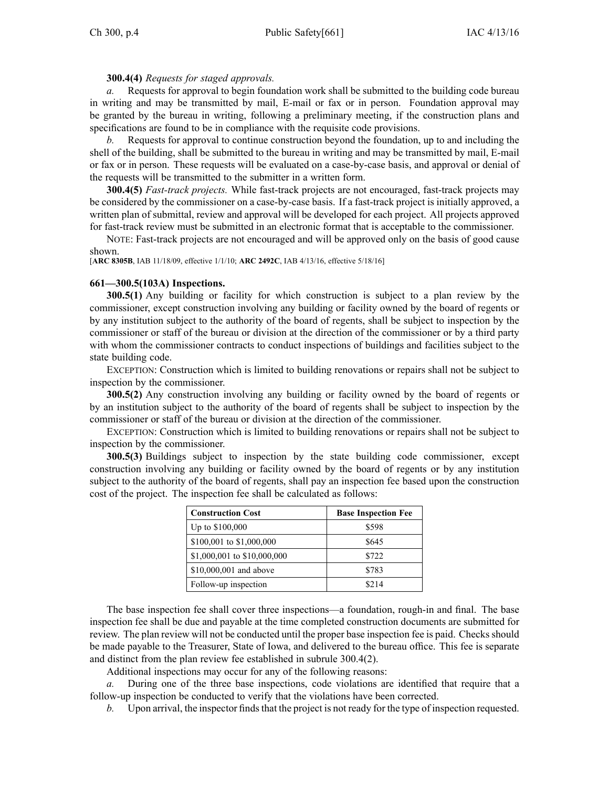### **300.4(4)** *Requests for staged approvals.*

*a.* Requests for approval to begin foundation work shall be submitted to the building code bureau in writing and may be transmitted by mail, E-mail or fax or in person. Foundation approval may be granted by the bureau in writing, following <sup>a</sup> preliminary meeting, if the construction plans and specifications are found to be in compliance with the requisite code provisions.

*b.* Requests for approval to continue construction beyond the foundation, up to and including the shell of the building, shall be submitted to the bureau in writing and may be transmitted by mail, E-mail or fax or in person. These requests will be evaluated on <sup>a</sup> case-by-case basis, and approval or denial of the requests will be transmitted to the submitter in <sup>a</sup> written form.

**300.4(5)** *Fast-track projects.* While fast-track projects are not encouraged, fast-track projects may be considered by the commissioner on <sup>a</sup> case-by-case basis. If <sup>a</sup> fast-track project is initially approved, <sup>a</sup> written plan of submittal, review and approval will be developed for each project. All projects approved for fast-track review must be submitted in an electronic format that is acceptable to the commissioner.

NOTE: Fast-track projects are not encouraged and will be approved only on the basis of good cause shown.

[**ARC 8305B**, IAB 11/18/09, effective 1/1/10; **ARC 2492C**, IAB 4/13/16, effective 5/18/16]

### **661—300.5(103A) Inspections.**

**300.5(1)** Any building or facility for which construction is subject to <sup>a</sup> plan review by the commissioner, excep<sup>t</sup> construction involving any building or facility owned by the board of regents or by any institution subject to the authority of the board of regents, shall be subject to inspection by the commissioner or staff of the bureau or division at the direction of the commissioner or by <sup>a</sup> third party with whom the commissioner contracts to conduct inspections of buildings and facilities subject to the state building code.

EXCEPTION: Construction which is limited to building renovations or repairs shall not be subject to inspection by the commissioner.

**300.5(2)** Any construction involving any building or facility owned by the board of regents or by an institution subject to the authority of the board of regents shall be subject to inspection by the commissioner or staff of the bureau or division at the direction of the commissioner.

EXCEPTION: Construction which is limited to building renovations or repairs shall not be subject to inspection by the commissioner.

**300.5(3)** Buildings subject to inspection by the state building code commissioner, excep<sup>t</sup> construction involving any building or facility owned by the board of regents or by any institution subject to the authority of the board of regents, shall pay an inspection fee based upon the construction cost of the project. The inspection fee shall be calculated as follows:

| <b>Construction Cost</b>    | <b>Base Inspection Fee</b> |
|-----------------------------|----------------------------|
| Up to $$100,000$            | \$598                      |
| \$100,001 to \$1,000,000    | \$645                      |
| \$1,000,001 to \$10,000,000 | \$722                      |
| \$10,000,001 and above      | \$783                      |
| Follow-up inspection        | \$214                      |

The base inspection fee shall cover three inspections—a foundation, rough-in and final. The base inspection fee shall be due and payable at the time completed construction documents are submitted for review. The plan review will not be conducted until the proper base inspection fee is paid. Checks should be made payable to the Treasurer, State of Iowa, and delivered to the bureau office. This fee is separate and distinct from the plan review fee established in subrule 300.4(2).

Additional inspections may occur for any of the following reasons:

*a.* During one of the three base inspections, code violations are identified that require that <sup>a</sup> follow-up inspection be conducted to verify that the violations have been corrected.

*b.* Upon arrival, the inspector finds that the project is not ready for the type of inspection requested.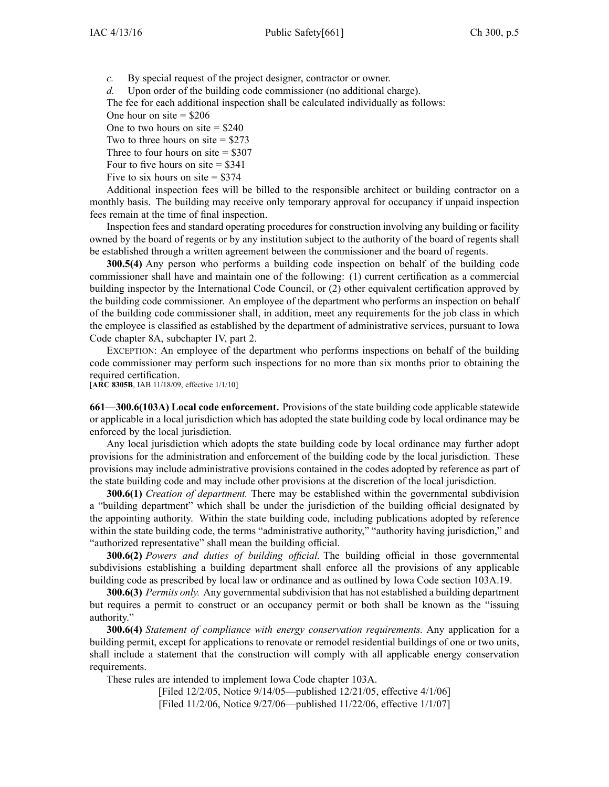*c.* By special reques<sup>t</sup> of the project designer, contractor or owner.

*d.* Upon order of the building code commissioner (no additional charge).

The fee for each additional inspection shall be calculated individually as follows:

One hour on site  $=$  \$206

One to two hours on site  $=$  \$240

Two to three hours on site  $=$  \$273

Three to four hours on site  $=$  \$307

Four to five hours on site  $= $341$ 

Five to six hours on site  $=$  \$374

Additional inspection fees will be billed to the responsible architect or building contractor on <sup>a</sup> monthly basis. The building may receive only temporary approval for occupancy if unpaid inspection fees remain at the time of final inspection.

Inspection fees and standard operating procedures for construction involving any building or facility owned by the board of regents or by any institution subject to the authority of the board of regents shall be established through <sup>a</sup> written agreemen<sup>t</sup> between the commissioner and the board of regents.

**300.5(4)** Any person who performs <sup>a</sup> building code inspection on behalf of the building code commissioner shall have and maintain one of the following: (1) current certification as <sup>a</sup> commercial building inspector by the International Code Council, or (2) other equivalent certification approved by the building code commissioner. An employee of the department who performs an inspection on behalf of the building code commissioner shall, in addition, meet any requirements for the job class in which the employee is classified as established by the department of administrative services, pursuan<sup>t</sup> to Iowa Code chapter 8A, [subchapter](https://www.legis.iowa.gov/docs/ico/chapter/8A.pdf) IV, par<sup>t</sup> 2.

EXCEPTION: An employee of the department who performs inspections on behalf of the building code commissioner may perform such inspections for no more than six months prior to obtaining the required certification.

[**ARC 8305B**, IAB 11/18/09, effective 1/1/10]

**661—300.6(103A) Local code enforcement.** Provisions of the state building code applicable statewide or applicable in <sup>a</sup> local jurisdiction which has adopted the state building code by local ordinance may be enforced by the local jurisdiction.

Any local jurisdiction which adopts the state building code by local ordinance may further adopt provisions for the administration and enforcement of the building code by the local jurisdiction. These provisions may include administrative provisions contained in the codes adopted by reference as par<sup>t</sup> of the state building code and may include other provisions at the discretion of the local jurisdiction.

**300.6(1)** *Creation of department.* There may be established within the governmental subdivision <sup>a</sup> "building department" which shall be under the jurisdiction of the building official designated by the appointing authority. Within the state building code, including publications adopted by reference within the state building code, the terms "administrative authority," "authority having jurisdiction," and "authorized representative" shall mean the building official.

**300.6(2)** *Powers and duties of building official.* The building official in those governmental subdivisions establishing <sup>a</sup> building department shall enforce all the provisions of any applicable building code as prescribed by local law or ordinance and as outlined by Iowa Code section [103A.19](https://www.legis.iowa.gov/docs/ico/section/103A.19.pdf).

**300.6(3)** *Permits only.* Any governmental subdivision that has not established a building department but requires <sup>a</sup> permit to construct or an occupancy permit or both shall be known as the "issuing authority."

**300.6(4)** *Statement of compliance with energy conservation requirements.* Any application for <sup>a</sup> building permit, excep<sup>t</sup> for applications to renovate or remodel residential buildings of one or two units, shall include <sup>a</sup> statement that the construction will comply with all applicable energy conservation requirements.

These rules are intended to implement Iowa Code chapter [103A](https://www.legis.iowa.gov/docs/ico/chapter/103A.pdf).

[Filed 12/2/05, Notice 9/14/05—published 12/21/05, effective 4/1/06] [Filed 11/2/06, Notice 9/27/06—published 11/22/06, effective 1/1/07]